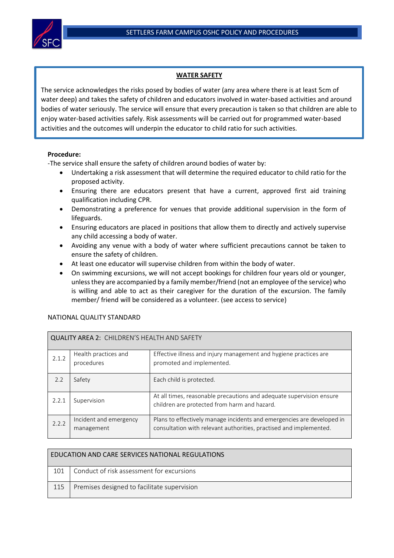

## **WATER SAFETY**

The service acknowledges the risks posed by bodies of water (any area where there is at least 5cm of water deep) and takes the safety of children and educators involved in water-based activities and around bodies of water seriously. The service will ensure that every precaution is taken so that children are able to enjoy water-based activities safely. Risk assessments will be carried out for programmed water-based activities and the outcomes will underpin the educator to child ratio for such activities.

## **Procedure:**

-The service shall ensure the safety of children around bodies of water by:

- Undertaking a risk assessment that will determine the required educator to child ratio for the proposed activity.
- Ensuring there are educators present that have a current, approved first aid training qualification including CPR.
- Demonstrating a preference for venues that provide additional supervision in the form of lifeguards.
- Ensuring educators are placed in positions that allow them to directly and actively supervise any child accessing a body of water.
- Avoiding any venue with a body of water where sufficient precautions cannot be taken to ensure the safety of children.
- At least one educator will supervise children from within the body of water.
- On swimming excursions, we will not accept bookings for children four years old or younger, unless they are accompanied by a family member/friend (not an employee of the service) who is willing and able to act as their caregiver for the duration of the excursion. The family member/ friend will be considered as a volunteer. (see access to service)

## NATIONAL QUALITY STANDARD

| QUALITY AREA 2: CHILDREN'S HEALTH AND SAFETY |                                      |                                                                                                                                              |  |  |  |
|----------------------------------------------|--------------------------------------|----------------------------------------------------------------------------------------------------------------------------------------------|--|--|--|
| 2.1.2                                        | Health practices and<br>procedures   | Effective illness and injury management and hygiene practices are<br>promoted and implemented.                                               |  |  |  |
| 2.2                                          | Safety                               | Each child is protected.                                                                                                                     |  |  |  |
| 2.2.1                                        | Supervision                          | At all times, reasonable precautions and adequate supervision ensure<br>children are protected from harm and hazard.                         |  |  |  |
| 2.2.2                                        | Incident and emergency<br>management | Plans to effectively manage incidents and emergencies are developed in<br>consultation with relevant authorities, practised and implemented. |  |  |  |

| EDUCATION AND CARE SERVICES NATIONAL REGULATIONS |                                             |  |  |  |
|--------------------------------------------------|---------------------------------------------|--|--|--|
| 101                                              | Conduct of risk assessment for excursions   |  |  |  |
| 115                                              | Premises designed to facilitate supervision |  |  |  |